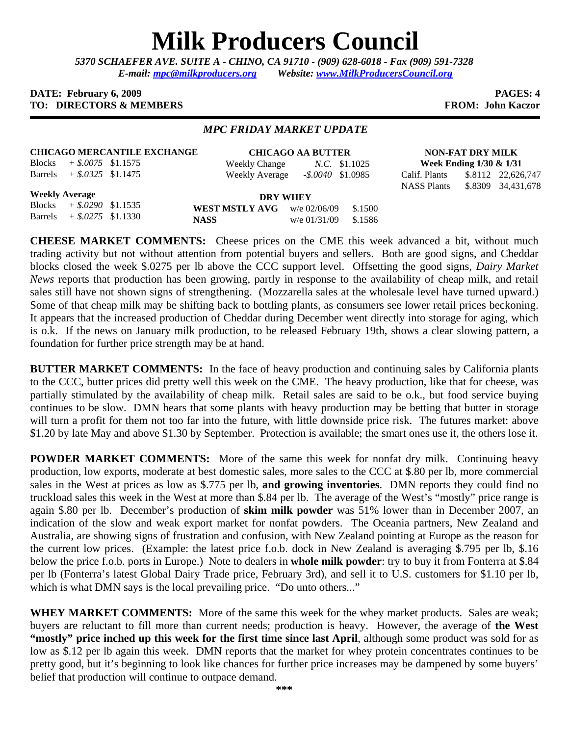# **Milk Producers Council**

*5370 SCHAEFER AVE. SUITE A* **-** *CHINO, CA 91710 - (909) 628-6018 - Fax (909) 591-7328 E-mail: mpc@milkproducers.org Website: www.MilkProducersCouncil.org* 

#### **DATE:** February 6, 2009 **PAGES: 4 PAGES: 4 PAGES: 4 PAGES: 4 PAGES: 4 PAGES: 4 TO: DIRECTORS & MEMBERS FROM: John Kaczor**

#### *MPC FRIDAY MARKET UPDATE*

## **CHICAGO MERCANTILE EXCHANGE**

Blocks *+ \$.0075* \$1.1575 Barrels *+ \$.0325* \$1.1475

**CHICAGO AA BUTTER** Weekly Change *N.C.* \$1.1025 Weekly Average *-\$.0040* \$1.0985

**NON-FAT DRY MILK Week Ending 1/30 & 1/31** Calif. Plants \$.8112 22,626,747

NASS Plants \$.8309 34,431,678

**Weekly Average**

Blocks *+ \$.0290* \$1.1535 Barrels *+ \$.0275* \$1.1330

**DRY WHEY WEST MSTLY AVG** w/e 02/06/09 \$.1500 **NASS** w/e 01/31/09 \$.1586

**CHEESE MARKET COMMENTS:** Cheese prices on the CME this week advanced a bit, without much trading activity but not without attention from potential buyers and sellers. Both are good signs, and Cheddar blocks closed the week \$.0275 per lb above the CCC support level. Offsetting the good signs, *Dairy Market News* reports that production has been growing, partly in response to the availability of cheap milk, and retail sales still have not shown signs of strengthening. (Mozzarella sales at the wholesale level have turned upward.) Some of that cheap milk may be shifting back to bottling plants, as consumers see lower retail prices beckoning. It appears that the increased production of Cheddar during December went directly into storage for aging, which is o.k. If the news on January milk production, to be released February 19th, shows a clear slowing pattern, a foundation for further price strength may be at hand.

**BUTTER MARKET COMMENTS:** In the face of heavy production and continuing sales by California plants to the CCC, butter prices did pretty well this week on the CME. The heavy production, like that for cheese, was partially stimulated by the availability of cheap milk. Retail sales are said to be o.k., but food service buying continues to be slow. DMN hears that some plants with heavy production may be betting that butter in storage will turn a profit for them not too far into the future, with little downside price risk. The futures market: above \$1.20 by late May and above \$1.30 by September. Protection is available; the smart ones use it, the others lose it.

**POWDER MARKET COMMENTS:** More of the same this week for nonfat dry milk. Continuing heavy production, low exports, moderate at best domestic sales, more sales to the CCC at \$.80 per lb, more commercial sales in the West at prices as low as \$.775 per lb, **and growing inventories**. DMN reports they could find no truckload sales this week in the West at more than \$.84 per lb. The average of the West's "mostly" price range is again \$.80 per lb. December's production of **skim milk powder** was 51% lower than in December 2007, an indication of the slow and weak export market for nonfat powders. The Oceania partners, New Zealand and Australia, are showing signs of frustration and confusion, with New Zealand pointing at Europe as the reason for the current low prices. (Example: the latest price f.o.b. dock in New Zealand is averaging \$.795 per lb, \$.16 below the price f.o.b. ports in Europe.) Note to dealers in **whole milk powder**: try to buy it from Fonterra at \$.84 per lb (Fonterra's latest Global Dairy Trade price, February 3rd), and sell it to U.S. customers for \$1.10 per lb, which is what DMN says is the local prevailing price. "Do unto others..."

**WHEY MARKET COMMENTS:** More of the same this week for the whey market products. Sales are weak; buyers are reluctant to fill more than current needs; production is heavy. However, the average of **the West "mostly" price inched up this week for the first time since last April**, although some product was sold for as low as \$.12 per lb again this week. DMN reports that the market for whey protein concentrates continues to be pretty good, but it's beginning to look like chances for further price increases may be dampened by some buyers' belief that production will continue to outpace demand.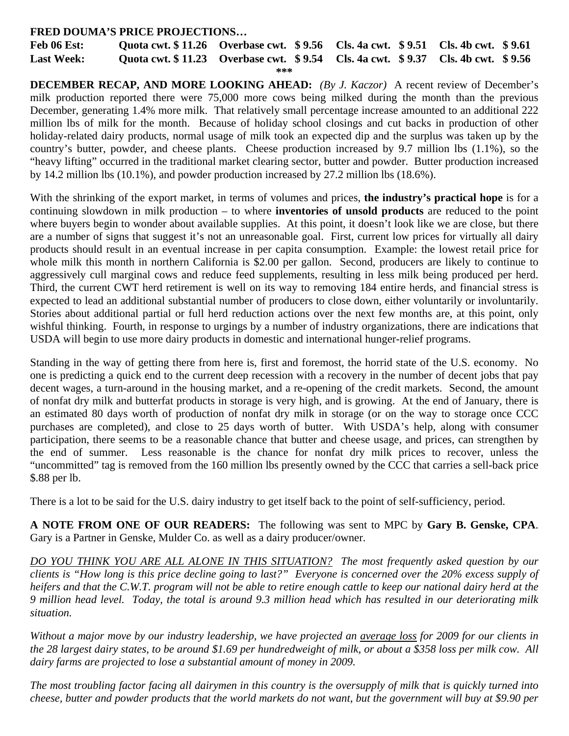### **FRED DOUMA'S PRICE PROJECTIONS…**

**Feb 06 Est: Quota cwt. \$ 11.26 Overbase cwt. \$ 9.56 Cls. 4a cwt. \$ 9.51 Cls. 4b cwt. \$ 9.61 Last Week: Quota cwt. \$ 11.23 Overbase cwt. \$ 9.54 Cls. 4a cwt. \$ 9.37 Cls. 4b cwt. \$ 9.56** 

```
***
```
**DECEMBER RECAP, AND MORE LOOKING AHEAD:** *(By J. Kaczor)* A recent review of December's milk production reported there were 75,000 more cows being milked during the month than the previous December, generating 1.4% more milk. That relatively small percentage increase amounted to an additional 222 million lbs of milk for the month. Because of holiday school closings and cut backs in production of other holiday-related dairy products, normal usage of milk took an expected dip and the surplus was taken up by the country's butter, powder, and cheese plants. Cheese production increased by 9.7 million lbs (1.1%), so the "heavy lifting" occurred in the traditional market clearing sector, butter and powder. Butter production increased by 14.2 million lbs (10.1%), and powder production increased by 27.2 million lbs (18.6%).

With the shrinking of the export market, in terms of volumes and prices, **the industry's practical hope** is for a continuing slowdown in milk production – to where **inventories of unsold products** are reduced to the point where buyers begin to wonder about available supplies. At this point, it doesn't look like we are close, but there are a number of signs that suggest it's not an unreasonable goal. First, current low prices for virtually all dairy products should result in an eventual increase in per capita consumption. Example: the lowest retail price for whole milk this month in northern California is \$2.00 per gallon. Second, producers are likely to continue to aggressively cull marginal cows and reduce feed supplements, resulting in less milk being produced per herd. Third, the current CWT herd retirement is well on its way to removing 184 entire herds, and financial stress is expected to lead an additional substantial number of producers to close down, either voluntarily or involuntarily. Stories about additional partial or full herd reduction actions over the next few months are, at this point, only wishful thinking. Fourth, in response to urgings by a number of industry organizations, there are indications that USDA will begin to use more dairy products in domestic and international hunger-relief programs.

Standing in the way of getting there from here is, first and foremost, the horrid state of the U.S. economy. No one is predicting a quick end to the current deep recession with a recovery in the number of decent jobs that pay decent wages, a turn-around in the housing market, and a re-opening of the credit markets. Second, the amount of nonfat dry milk and butterfat products in storage is very high, and is growing. At the end of January, there is an estimated 80 days worth of production of nonfat dry milk in storage (or on the way to storage once CCC purchases are completed), and close to 25 days worth of butter. With USDA's help, along with consumer participation, there seems to be a reasonable chance that butter and cheese usage, and prices, can strengthen by the end of summer. Less reasonable is the chance for nonfat dry milk prices to recover, unless the "uncommitted" tag is removed from the 160 million lbs presently owned by the CCC that carries a sell-back price \$.88 per lb.

There is a lot to be said for the U.S. dairy industry to get itself back to the point of self-sufficiency, period.

**A NOTE FROM ONE OF OUR READERS:** The following was sent to MPC by **Gary B. Genske, CPA**. Gary is a Partner in Genske, Mulder Co. as well as a dairy producer/owner.

*DO YOU THINK YOU ARE ALL ALONE IN THIS SITUATION? The most frequently asked question by our clients is "How long is this price decline going to last?" Everyone is concerned over the 20% excess supply of heifers and that the C.W.T. program will not be able to retire enough cattle to keep our national dairy herd at the 9 million head level. Today, the total is around 9.3 million head which has resulted in our deteriorating milk situation.* 

*Without a major move by our industry leadership, we have projected an average loss for 2009 for our clients in the 28 largest dairy states, to be around \$1.69 per hundredweight of milk, or about a \$358 loss per milk cow. All*  dairy farms are projected to lose a substantial amount of money in 2009.

*The most troubling factor facing all dairymen in this country is the oversupply of milk that is quickly turned into cheese, butter and powder products that the world markets do not want, but the government will buy at \$9.90 per*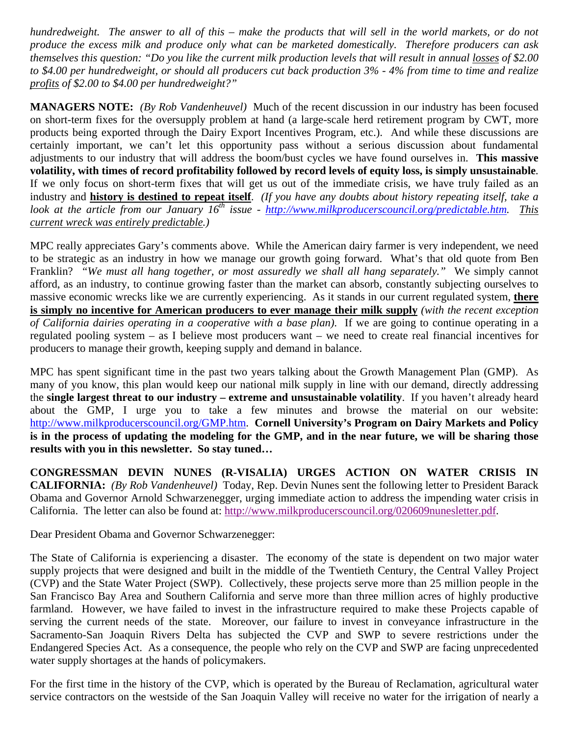*hundredweight. The answer to all of this – make the products that will sell in the world markets, or do not produce the excess milk and produce only what can be marketed domestically. Therefore producers can ask themselves this question: "Do you like the current milk production levels that will result in annual losses of \$2.00 to \$4.00 per hundredweight, or should all producers cut back production 3% - 4% from time to time and realize profits of \$2.00 to \$4.00 per hundredweight?"* 

**MANAGERS NOTE:** *(By Rob Vandenheuvel)* Much of the recent discussion in our industry has been focused on short-term fixes for the oversupply problem at hand (a large-scale herd retirement program by CWT, more products being exported through the Dairy Export Incentives Program, etc.). And while these discussions are certainly important, we can't let this opportunity pass without a serious discussion about fundamental adjustments to our industry that will address the boom/bust cycles we have found ourselves in. **This massive volatility, with times of record profitability followed by record levels of equity loss, is simply unsustainable**. If we only focus on short-term fixes that will get us out of the immediate crisis, we have truly failed as an industry and **history is destined to repeat itself**. *(If you have any doubts about history repeating itself, take a look at the article from our January 16th issue - http://www.milkproducerscouncil.org/predictable.htm. This current wreck was entirely predictable.)*

MPC really appreciates Gary's comments above. While the American dairy farmer is very independent, we need to be strategic as an industry in how we manage our growth going forward. What's that old quote from Ben Franklin? *"We must all hang together, or most assuredly we shall all hang separately."* We simply cannot afford, as an industry, to continue growing faster than the market can absorb, constantly subjecting ourselves to massive economic wrecks like we are currently experiencing. As it stands in our current regulated system, **there is simply no incentive for American producers to ever manage their milk supply** *(with the recent exception of California dairies operating in a cooperative with a base plan)*. If we are going to continue operating in a regulated pooling system – as I believe most producers want – we need to create real financial incentives for producers to manage their growth, keeping supply and demand in balance.

MPC has spent significant time in the past two years talking about the Growth Management Plan (GMP). As many of you know, this plan would keep our national milk supply in line with our demand, directly addressing the **single largest threat to our industry – extreme and unsustainable volatility**. If you haven't already heard about the GMP, I urge you to take a few minutes and browse the material on our website: http://www.milkproducerscouncil.org/GMP.htm. **Cornell University's Program on Dairy Markets and Policy is in the process of updating the modeling for the GMP, and in the near future, we will be sharing those results with you in this newsletter. So stay tuned…**

**CONGRESSMAN DEVIN NUNES (R-VISALIA) URGES ACTION ON WATER CRISIS IN CALIFORNIA:** *(By Rob Vandenheuvel)* Today, Rep. Devin Nunes sent the following letter to President Barack Obama and Governor Arnold Schwarzenegger, urging immediate action to address the impending water crisis in California. The letter can also be found at: http://www.milkproducerscouncil.org/020609nunesletter.pdf.

Dear President Obama and Governor Schwarzenegger:

The State of California is experiencing a disaster. The economy of the state is dependent on two major water supply projects that were designed and built in the middle of the Twentieth Century, the Central Valley Project (CVP) and the State Water Project (SWP). Collectively, these projects serve more than 25 million people in the San Francisco Bay Area and Southern California and serve more than three million acres of highly productive farmland. However, we have failed to invest in the infrastructure required to make these Projects capable of serving the current needs of the state. Moreover, our failure to invest in conveyance infrastructure in the Sacramento-San Joaquin Rivers Delta has subjected the CVP and SWP to severe restrictions under the Endangered Species Act. As a consequence, the people who rely on the CVP and SWP are facing unprecedented water supply shortages at the hands of policymakers.

For the first time in the history of the CVP, which is operated by the Bureau of Reclamation, agricultural water service contractors on the westside of the San Joaquin Valley will receive no water for the irrigation of nearly a